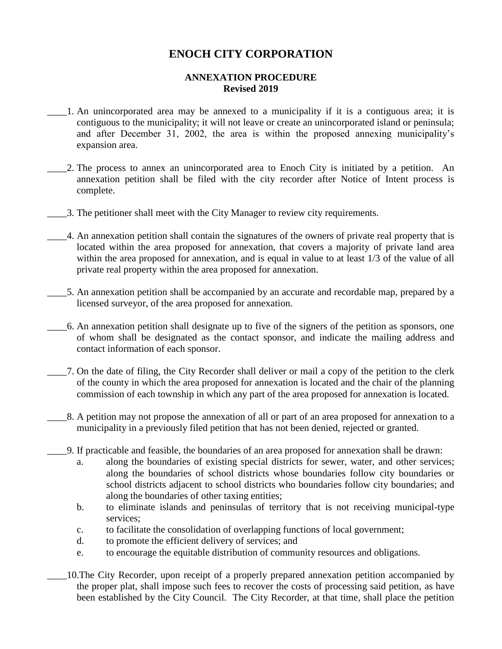## **ENOCH CITY CORPORATION**

## **ANNEXATION PROCEDURE Revised 2019**

- \_\_\_\_1. An unincorporated area may be annexed to a municipality if it is a contiguous area; it is contiguous to the municipality; it will not leave or create an unincorporated island or peninsula; and after December 31, 2002, the area is within the proposed annexing municipality's expansion area.
- \_\_\_\_2. The process to annex an unincorporated area to Enoch City is initiated by a petition. An annexation petition shall be filed with the city recorder after Notice of Intent process is complete.
- \_\_\_\_3. The petitioner shall meet with the City Manager to review city requirements.
- \_\_\_\_4. An annexation petition shall contain the signatures of the owners of private real property that is located within the area proposed for annexation, that covers a majority of private land area within the area proposed for annexation, and is equal in value to at least 1/3 of the value of all private real property within the area proposed for annexation.
- \_\_\_\_5. An annexation petition shall be accompanied by an accurate and recordable map, prepared by a licensed surveyor, of the area proposed for annexation.
- \_\_\_\_6. An annexation petition shall designate up to five of the signers of the petition as sponsors, one of whom shall be designated as the contact sponsor, and indicate the mailing address and contact information of each sponsor.
- \_\_\_\_7. On the date of filing, the City Recorder shall deliver or mail a copy of the petition to the clerk of the county in which the area proposed for annexation is located and the chair of the planning commission of each township in which any part of the area proposed for annexation is located.
	- \_\_\_\_8. A petition may not propose the annexation of all or part of an area proposed for annexation to a municipality in a previously filed petition that has not been denied, rejected or granted.
- \_\_\_\_9. If practicable and feasible, the boundaries of an area proposed for annexation shall be drawn:
	- a. along the boundaries of existing special districts for sewer, water, and other services; along the boundaries of school districts whose boundaries follow city boundaries or school districts adjacent to school districts who boundaries follow city boundaries; and along the boundaries of other taxing entities;
	- b. to eliminate islands and peninsulas of territory that is not receiving municipal-type services;
	- c. to facilitate the consolidation of overlapping functions of local government;
	- d. to promote the efficient delivery of services; and
	- e. to encourage the equitable distribution of community resources and obligations.
	- \_\_\_\_10.The City Recorder, upon receipt of a properly prepared annexation petition accompanied by the proper plat, shall impose such fees to recover the costs of processing said petition, as have been established by the City Council. The City Recorder, at that time, shall place the petition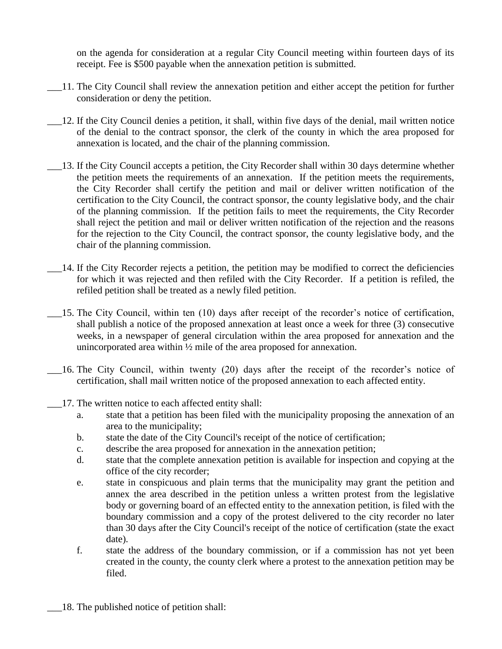on the agenda for consideration at a regular City Council meeting within fourteen days of its receipt. Fee is \$500 payable when the annexation petition is submitted.

- \_\_\_11. The City Council shall review the annexation petition and either accept the petition for further consideration or deny the petition.
- \_\_\_12. If the City Council denies a petition, it shall, within five days of the denial, mail written notice of the denial to the contract sponsor, the clerk of the county in which the area proposed for annexation is located, and the chair of the planning commission.
- \_\_\_13. If the City Council accepts a petition, the City Recorder shall within 30 days determine whether the petition meets the requirements of an annexation. If the petition meets the requirements, the City Recorder shall certify the petition and mail or deliver written notification of the certification to the City Council, the contract sponsor, the county legislative body, and the chair of the planning commission. If the petition fails to meet the requirements, the City Recorder shall reject the petition and mail or deliver written notification of the rejection and the reasons for the rejection to the City Council, the contract sponsor, the county legislative body, and the chair of the planning commission.
- \_\_\_14. If the City Recorder rejects a petition, the petition may be modified to correct the deficiencies for which it was rejected and then refiled with the City Recorder. If a petition is refiled, the refiled petition shall be treated as a newly filed petition.
- \_\_\_15. The City Council, within ten (10) days after receipt of the recorder's notice of certification, shall publish a notice of the proposed annexation at least once a week for three (3) consecutive weeks, in a newspaper of general circulation within the area proposed for annexation and the unincorporated area within ½ mile of the area proposed for annexation.
- \_\_\_16. The City Council, within twenty (20) days after the receipt of the recorder's notice of certification, shall mail written notice of the proposed annexation to each affected entity.
- \_\_\_17. The written notice to each affected entity shall:
	- a. state that a petition has been filed with the municipality proposing the annexation of an area to the municipality;
	- b. state the date of the City Council's receipt of the notice of certification;
	- c. describe the area proposed for annexation in the annexation petition;
	- d. state that the complete annexation petition is available for inspection and copying at the office of the city recorder;
	- e. state in conspicuous and plain terms that the municipality may grant the petition and annex the area described in the petition unless a written protest from the legislative body or governing board of an effected entity to the annexation petition, is filed with the boundary commission and a copy of the protest delivered to the city recorder no later than 30 days after the City Council's receipt of the notice of certification (state the exact date).
	- f. state the address of the boundary commission, or if a commission has not yet been created in the county, the county clerk where a protest to the annexation petition may be filed.
- \_\_\_18. The published notice of petition shall: